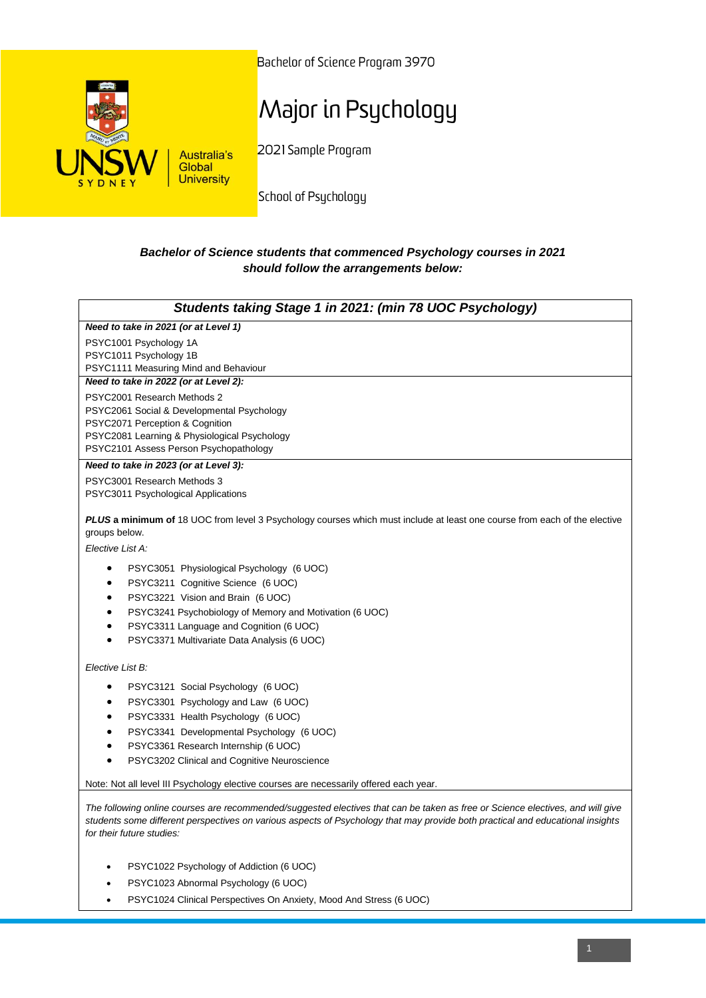

Bachelor of Science Program 3970

## Major in Psychology

2021 Sample Program

School of Psychology

## *Bachelor of Science students that commenced Psychology courses in 2021 should follow the arrangements below:*

| Students taking Stage 1 in 2021: (min 78 UOC Psychology)                                                                                                                                                                                                                                      |
|-----------------------------------------------------------------------------------------------------------------------------------------------------------------------------------------------------------------------------------------------------------------------------------------------|
| Need to take in 2021 (or at Level 1)                                                                                                                                                                                                                                                          |
| PSYC1001 Psychology 1A                                                                                                                                                                                                                                                                        |
| PSYC1011 Psychology 1B                                                                                                                                                                                                                                                                        |
| PSYC1111 Measuring Mind and Behaviour                                                                                                                                                                                                                                                         |
| Need to take in 2022 (or at Level 2):                                                                                                                                                                                                                                                         |
| PSYC2001 Research Methods 2<br>PSYC2061 Social & Developmental Psychology                                                                                                                                                                                                                     |
| PSYC2071 Perception & Cognition                                                                                                                                                                                                                                                               |
| PSYC2081 Learning & Physiological Psychology                                                                                                                                                                                                                                                  |
| PSYC2101 Assess Person Psychopathology                                                                                                                                                                                                                                                        |
| Need to take in 2023 (or at Level 3):                                                                                                                                                                                                                                                         |
| PSYC3001 Research Methods 3                                                                                                                                                                                                                                                                   |
| PSYC3011 Psychological Applications                                                                                                                                                                                                                                                           |
| PLUS a minimum of 18 UOC from level 3 Psychology courses which must include at least one course from each of the elective<br>groups below.                                                                                                                                                    |
| Elective List A:                                                                                                                                                                                                                                                                              |
| PSYC3051 Physiological Psychology (6 UOC)<br>$\bullet$                                                                                                                                                                                                                                        |
| PSYC3211 Cognitive Science (6 UOC)                                                                                                                                                                                                                                                            |
| PSYC3221 Vision and Brain (6 UOC)<br>$\bullet$                                                                                                                                                                                                                                                |
| PSYC3241 Psychobiology of Memory and Motivation (6 UOC)<br>$\bullet$                                                                                                                                                                                                                          |
| PSYC3311 Language and Cognition (6 UOC)<br>٠                                                                                                                                                                                                                                                  |
| PSYC3371 Multivariate Data Analysis (6 UOC)                                                                                                                                                                                                                                                   |
| Elective List B:                                                                                                                                                                                                                                                                              |
| PSYC3121 Social Psychology (6 UOC)<br>$\bullet$                                                                                                                                                                                                                                               |
| PSYC3301 Psychology and Law (6 UOC)<br>$\bullet$                                                                                                                                                                                                                                              |
| PSYC3331 Health Psychology (6 UOC)<br>$\bullet$                                                                                                                                                                                                                                               |
| PSYC3341 Developmental Psychology (6 UOC)<br>$\bullet$                                                                                                                                                                                                                                        |
| PSYC3361 Research Internship (6 UOC)<br>$\bullet$                                                                                                                                                                                                                                             |
| PSYC3202 Clinical and Cognitive Neuroscience<br>$\bullet$                                                                                                                                                                                                                                     |
| Note: Not all level III Psychology elective courses are necessarily offered each year.                                                                                                                                                                                                        |
| The following online courses are recommended/suggested electives that can be taken as free or Science electives, and will give<br>students some different perspectives on various aspects of Psychology that may provide both practical and educational insights<br>for their future studies: |

- PSYC1022 Psychology of Addiction (6 UOC)
- PSYC1023 Abnormal Psychology (6 UOC)
- PSYC1024 Clinical Perspectives On Anxiety, Mood And Stress (6 UOC)